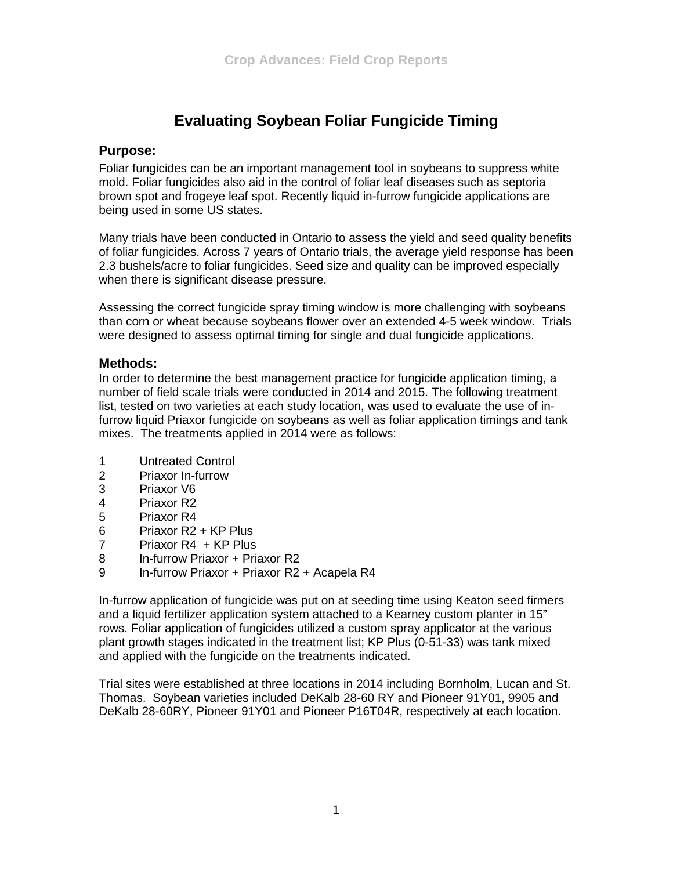# **Evaluating Soybean Foliar Fungicide Timing**

#### **Purpose:**

Foliar fungicides can be an important management tool in soybeans to suppress white mold. Foliar fungicides also aid in the control of foliar leaf diseases such as septoria brown spot and frogeye leaf spot. Recently liquid in-furrow fungicide applications are being used in some US states.

Many trials have been conducted in Ontario to assess the yield and seed quality benefits of foliar fungicides. Across 7 years of Ontario trials, the average yield response has been 2.3 bushels/acre to foliar fungicides. Seed size and quality can be improved especially when there is significant disease pressure.

Assessing the correct fungicide spray timing window is more challenging with soybeans than corn or wheat because soybeans flower over an extended 4-5 week window. Trials were designed to assess optimal timing for single and dual fungicide applications.

## **Methods:**

In order to determine the best management practice for fungicide application timing, a number of field scale trials were conducted in 2014 and 2015. The following treatment list, tested on two varieties at each study location, was used to evaluate the use of infurrow liquid Priaxor fungicide on soybeans as well as foliar application timings and tank mixes. The treatments applied in 2014 were as follows:

- 1 Untreated Control
- 2 Priaxor In-furrow
- 3 Priaxor V6
- 4 Priaxor R2
- 5 Priaxor R4
- 6 Priaxor R2 + KP Plus
- 7 Priaxor R4 + KP Plus<br>8 In-furrow Priaxor + Pria
- In-furrow Priaxor + Priaxor R2
- 9 In-furrow Priaxor + Priaxor R2 + Acapela R4

In-furrow application of fungicide was put on at seeding time using Keaton seed firmers and a liquid fertilizer application system attached to a Kearney custom planter in 15" rows. Foliar application of fungicides utilized a custom spray applicator at the various plant growth stages indicated in the treatment list; KP Plus (0-51-33) was tank mixed and applied with the fungicide on the treatments indicated.

Trial sites were established at three locations in 2014 including Bornholm, Lucan and St. Thomas. Soybean varieties included DeKalb 28-60 RY and Pioneer 91Y01, 9905 and DeKalb 28-60RY, Pioneer 91Y01 and Pioneer P16T04R, respectively at each location.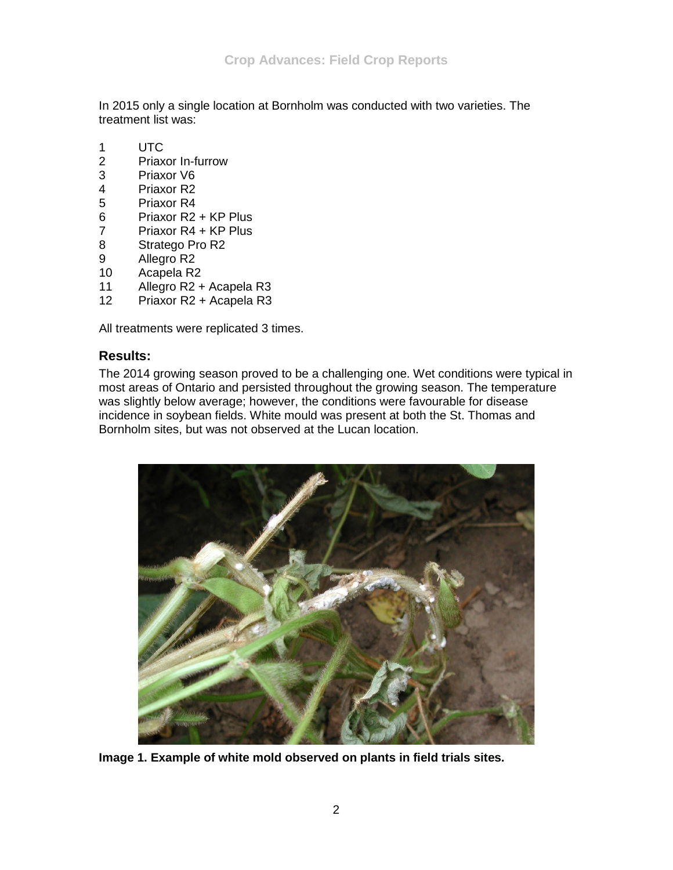In 2015 only a single location at Bornholm was conducted with two varieties. The treatment list was:

- 1 UTC
- 2 Priaxor In-furrow<br>3 Priaxor V6
- 3 Priaxor V6<br>4 Priaxor R2
- 4 Priaxor R2<br>5 Priaxor R4
- 5 Priaxor R4<br>6 Priaxor R2
- 6 Priaxor R2 + KP Plus<br>7 Priaxor R4 + KP Plus
- Priaxor R4 + KP Plus
- 8 Stratego Pro R2
- 9 Allegro R2<br>10 Acapela R2
- Acapela R2
- 11 Allegro R2 + Acapela R3
- 12 Priaxor R2 + Acapela R3

All treatments were replicated 3 times.

## **Results:**

The 2014 growing season proved to be a challenging one. Wet conditions were typical in most areas of Ontario and persisted throughout the growing season. The temperature was slightly below average; however, the conditions were favourable for disease incidence in soybean fields. White mould was present at both the St. Thomas and Bornholm sites, but was not observed at the Lucan location.



**Image 1. Example of white mold observed on plants in field trials sites.**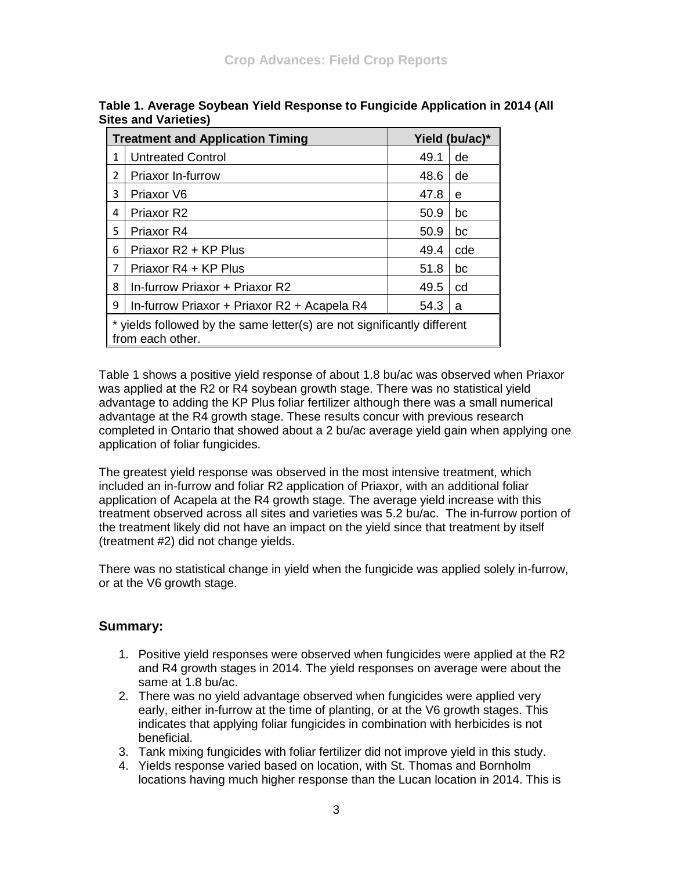| <b>Treatment and Application Timing</b> |                                                                                           | Yield (bu/ac)* |     |  |  |
|-----------------------------------------|-------------------------------------------------------------------------------------------|----------------|-----|--|--|
| 1                                       | <b>Untreated Control</b>                                                                  | 49.1           | de  |  |  |
| 2                                       | Priaxor In-furrow                                                                         | 48.6           | de  |  |  |
| 3                                       | Priaxor V6                                                                                | 47.8           | e   |  |  |
| 4                                       | Priaxor R <sub>2</sub>                                                                    | 50.9           | bc  |  |  |
| 5                                       | Priaxor R4                                                                                | 50.9           | bc  |  |  |
| 6                                       | Priaxor R2 + KP Plus                                                                      | 49.4           | cde |  |  |
| 7                                       | Priaxor R4 + KP Plus                                                                      | 51.8           | bc  |  |  |
| 8                                       | In-furrow Priaxor + Priaxor R2                                                            | 49.5           | cd  |  |  |
| 9                                       | In-furrow Priaxor + Priaxor R2 + Acapela R4                                               | 54.3           | a   |  |  |
|                                         | yields followed by the same letter(s) are not significantly different<br>from each other. |                |     |  |  |

**Table 1. Average Soybean Yield Response to Fungicide Application in 2014 (All Sites and Varieties)**

Table 1 shows a positive yield response of about 1.8 bu/ac was observed when Priaxor was applied at the R2 or R4 soybean growth stage. There was no statistical yield advantage to adding the KP Plus foliar fertilizer although there was a small numerical advantage at the R4 growth stage. These results concur with previous research completed in Ontario that showed about a 2 bu/ac average yield gain when applying one application of foliar fungicides.

The greatest yield response was observed in the most intensive treatment, which included an in-furrow and foliar R2 application of Priaxor, with an additional foliar application of Acapela at the R4 growth stage. The average yield increase with this treatment observed across all sites and varieties was 5.2 bu/ac. The in-furrow portion of the treatment likely did not have an impact on the yield since that treatment by itself (treatment #2) did not change yields.

There was no statistical change in yield when the fungicide was applied solely in-furrow, or at the V6 growth stage.

## **Summary:**

- 1. Positive yield responses were observed when fungicides were applied at the R2 and R4 growth stages in 2014. The yield responses on average were about the same at 1.8 bu/ac.
- 2. There was no yield advantage observed when fungicides were applied very early, either in-furrow at the time of planting, or at the V6 growth stages. This indicates that applying foliar fungicides in combination with herbicides is not beneficial.
- 3. Tank mixing fungicides with foliar fertilizer did not improve yield in this study.
- 4. Yields response varied based on location, with St. Thomas and Bornholm locations having much higher response than the Lucan location in 2014. This is